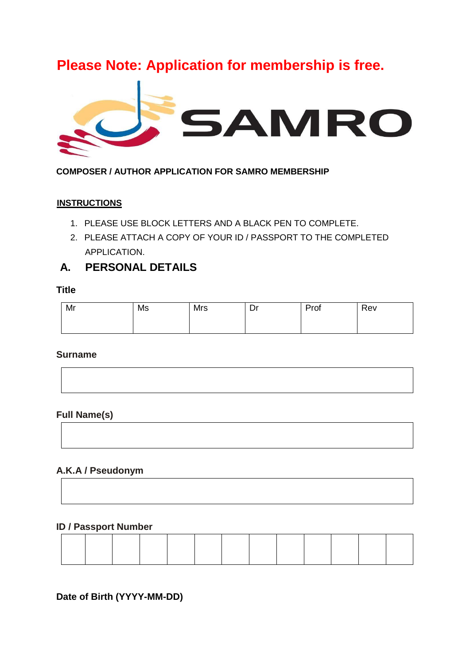# **Please Note: Application for membership is free.**



**COMPOSER / AUTHOR APPLICATION FOR SAMRO MEMBERSHIP** 

## **INSTRUCTIONS**

- 1. PLEASE USE BLOCK LETTERS AND A BLACK PEN TO COMPLETE.
- 2. PLEASE ATTACH A COPY OF YOUR ID / PASSPORT TO THE COMPLETED APPLICATION.

## **A. PERSONAL DETAILS**

## **Title**

| Mr | Ms | Mrs | Dr | Prof | Rev |
|----|----|-----|----|------|-----|
|    |    |     |    |      |     |

## **Surname**



## **Full Name(s)**

## **A.K.A / Pseudonym**

## **ID / Passport Number**

## **Date of Birth (YYYY-MM-DD)**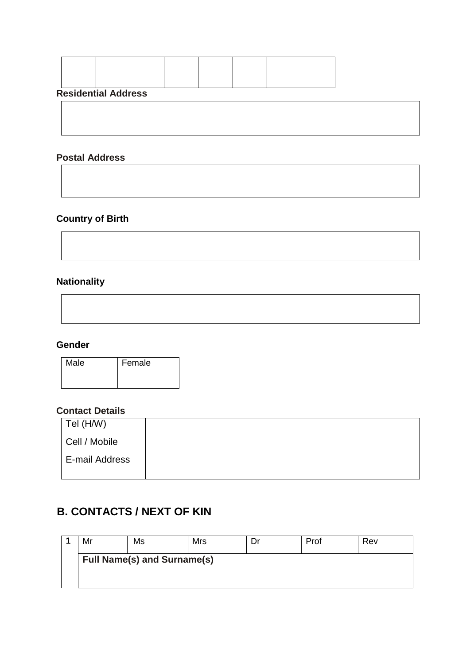| <b>Residential Address</b> |  |  |  |
|----------------------------|--|--|--|

## **Postal Address**

## **Country of Birth**

## **Nationality**

## **Gender**

| Male | Female |
|------|--------|
|      |        |
|      |        |

## **Contact Details**

| $ $ Tel (H/W)  |  |
|----------------|--|
| Cell / Mobile  |  |
| E-mail Address |  |

## **B. CONTACTS / NEXT OF KIN**

| Mr                                 | Ms | Mrs |  | Prof | Rev |  |  |  |
|------------------------------------|----|-----|--|------|-----|--|--|--|
| <b>Full Name(s) and Surname(s)</b> |    |     |  |      |     |  |  |  |